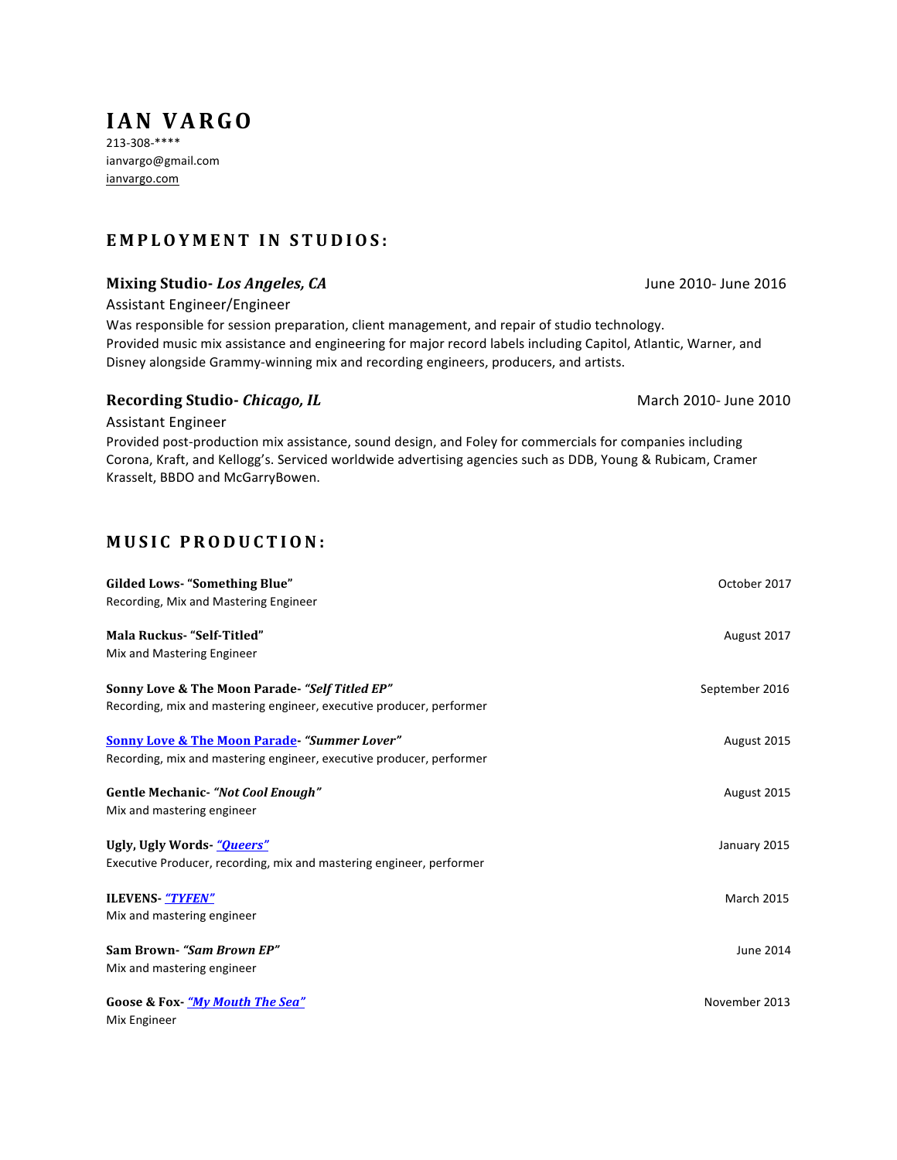# **IAN VARGO**

213-308-\*\*\*\* ianvargo@gmail.com ianvargo.com

## **EMPLOYMENT IN STUDIOS :**

### **Mixing Studio-** *Los Angeles, CA* June 2010- June 2016

Assistant Engineer/Engineer

Was responsible for session preparation, client management, and repair of studio technology. Provided music mix assistance and engineering for major record labels including Capitol, Atlantic, Warner, and Disney alongside Grammy-winning mix and recording engineers, producers, and artists.

#### **Recording Studio- Chicago, IL** March 2010- June 2010

Assistant Engineer

Provided post-production mix assistance, sound design, and Foley for commercials for companies including Corona, Kraft, and Kellogg's. Serviced worldwide advertising agencies such as DDB, Young & Rubicam, Cramer Krasselt, BBDO and McGarryBowen.

## **MUSIC PRODUCTION:**

| <b>Gilded Lows- "Something Blue"</b><br>Recording, Mix and Mastering Engineer                                                  | October 2017      |
|--------------------------------------------------------------------------------------------------------------------------------|-------------------|
| <b>Mala Ruckus- "Self-Titled"</b><br>Mix and Mastering Engineer                                                                | August 2017       |
| Sonny Love & The Moon Parade- "Self Titled EP"<br>Recording, mix and mastering engineer, executive producer, performer         | September 2016    |
| <b>Sonny Love &amp; The Moon Parade-"Summer Lover"</b><br>Recording, mix and mastering engineer, executive producer, performer | August 2015       |
| Gentle Mechanic- "Not Cool Enough"<br>Mix and mastering engineer                                                               | August 2015       |
| Ugly, Ugly Words- "Queers"<br>Executive Producer, recording, mix and mastering engineer, performer                             | January 2015      |
| <b>ILEVENS-</b> "TYFEN"<br>Mix and mastering engineer                                                                          | <b>March 2015</b> |
| Sam Brown-"Sam Brown EP"<br>Mix and mastering engineer                                                                         | June 2014         |
| <b>Goose &amp; Fox-</b> "My Mouth The Sea"<br>Mix Engineer                                                                     | November 2013     |